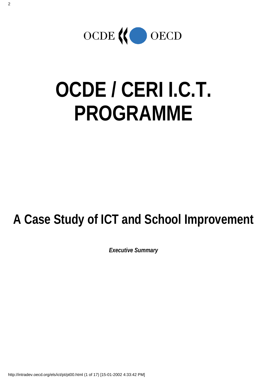

# **OCDE / CERI I.C.T. PROGRAMME**

# **A Case Study of ICT and School Improvement**

*Executive Summary*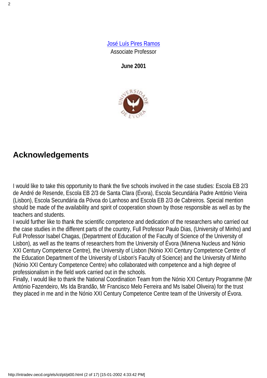[José Luís Pires Ramos](http://www.minerva.uevora.pt/jlramos) Associate Professor

**June 2001**



#### **Acknowledgements**

I would like to take this opportunity to thank the five schools involved in the case studies: Escola EB 2/3 de André de Resende, Escola EB 2/3 de Santa Clara (Évora), Escola Secundária Padre António Vieira (Lisbon), Escola Secundária da Póvoa do Lanhoso and Escola EB 2/3 de Cabreiros. Special mention should be made of the availability and spirit of cooperation shown by those responsible as well as by the teachers and students.

I would further like to thank the scientific competence and dedication of the researchers who carried out the case studies in the different parts of the country, Full Professor Paulo Dias, (University of Minho) and Full Professor Isabel Chagas, (Department of Education of the Faculty of Science of the University of Lisbon), as well as the teams of researchers from the University of Évora (Minerva Nucleus and Nónio XXI Century Competence Centre), the University of Lisbon (Nónio XXI Century Competence Centre of the Education Department of the University of Lisbon's Faculty of Science) and the University of Minho (Nónio XXI Century Competence Centre) who collaborated with competence and a high degree of professionalism in the field work carried out in the schools.

Finally, I would like to thank the National Coordination Team from the Nónio XXI Century Programme (Mr António Fazendeiro, Ms Ida Brandão, Mr Francisco Melo Ferreira and Ms Isabel Oliveira) for the trust they placed in me and in the Nónio XXI Century Competence Centre team of the University of Évora.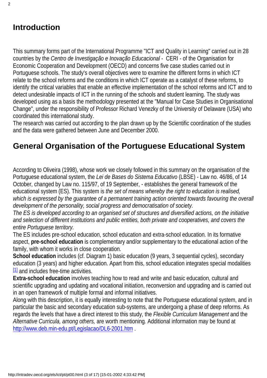#### **Introduction**

This summary forms part of the International Programme "ICT and Quality in Learning" carried out in 28 countries by the *Centro de Investigação e Inovação Educacional* - CERI- of the Organisation for Economic Cooperation and Development (OECD) and concerns five case studies carried out in Portuguese schools. The study's overall objectives were to examine the different forms in which ICT relate to the school reforms and the conditions in which ICT operate as a catalyst of these reforms, to identify the critical variables that enable an effective implementation of the school reforms and ICT and to detect undesirable impacts of ICT in the running of the schools and student learning. The study was developed using as a basis the methodology presented at the "Manual for Case Studies in Organisational Change", under the responsibility of Professor Richard Venezky of the University of Delaware (USA) who coordinated this international study.

The research was carried out according to the plan drawn up by the Scientific coordination of the studies and the data were gathered between June and December 2000.

#### **General Organisation of the Portuguese Educational System**

According to Oliveira (1998), whose work we closely followed in this summary on the organisation of the Portuguese educational system, the *Lei de Bases do Sistema Educativo* (LBSE) - Law no. 46/86, of 14 October, changed by Law no. 115/97, of 19 September, - establishes the general framework of the educational system (ES). This system is *the set of means whereby the right to education is realised,* which is expressed by the guarantee of a permanent training action oriented towards favouring the overall *development of the personality, social progress and democratisation of society.*

*The ES is developed according to an organised set of structures and diversified actions, on the initiative and selection of different institutions and public entities, both private and cooperatives, and covers the entire Portuguese territory.*

The ES includes pre-school education, school education and extra-school education. In its formative aspect, **pre-school education** is complementary and/or supplementary to the educational action of the family, with whom it works in close cooperation.

**School education** includes (cf. Diagram 1) basic education (9 years, 3 sequential cycles), secondary education (3 years) and higher education. Apart from this, school education integrates special modalities  $11$  and includes free-time activities.

<span id="page-2-0"></span>**Extra-school education** involves teaching how to read and write and basic education, cultural and scientific upgrading and updating and vocational initiation, reconversion and upgrading and is carried out in an open framework of multiple formal and informal initiatives.

Along with this description, it is equally interesting to note that the Portuguese educational system, and in particular the basic and secondary education sub-systems, are undergoing a phase of deep reforms. As regards the levels that have a direct interest to this study, the *Flexible Curriculum Management* and the *Alternative Curricula, among others,* are worth mentioning*.* Additional information may be found at <http://www.deb.min-edu.pt/Legislacao/DL6-2001.htm> .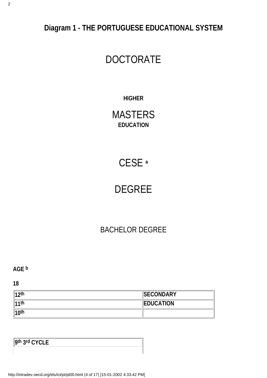**Diagram 1 - THE PORTUGUESE EDUCATIONAL SYSTEM**

### DOCTORATE

#### **HIGHER**

MASTERS **EDUCATION**

## CESE **ª**

### DEGREE

#### BACHELOR DEGREE

**AGE b**

**18**

| $12$ th  | <b>SECONDARY</b> |
|----------|------------------|
| 11th     | <b>EDUCATION</b> |
| $ 10$ th |                  |

**9th 3rd CYCLE**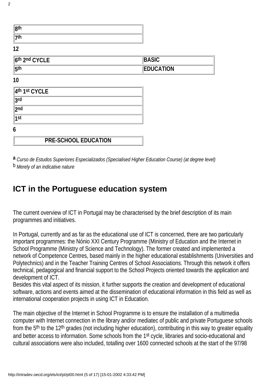| 8 <sup>th</sup> |  |
|-----------------|--|
| 7 <sup>th</sup> |  |

**12**

| 6th 2nd CYCLE    | <b>BASIC</b>     |
|------------------|------------------|
| $ 5^{\text{th}}$ | <b>EDUCATION</b> |

**10**

| 4th 1st CYCLE |                             |
|---------------|-----------------------------|
| 3rd           |                             |
| $\vert$ 2nd   |                             |
| ∣1st          |                             |
| 6             |                             |
|               | <b>PRE-SCHOOL EDUCATION</b> |

**a** *Curso de Estudos Superiores Especializados (Specialised Higher Education Course) (at degree level)* b *Merely of an indicative nature*

#### **ICT in the Portuguese education system**

The current overview of ICT in Portugal may be characterised by the brief description of its main programmes and initiatives.

In Portugal, currently and as far as the educational use of ICT is concerned, there are two particularly important programmes: the Nónio XXI Century Programme (Ministry of Education and the Internet in School Programme (Ministry of Science and Technology). The former created and implemented a network of Competence Centres, based mainly in the higher educational establishments (Universities and Polytechnics) and in the Teacher Training Centres of School Associations. Through this network it offers technical, pedagogical and financial support to the School Projects oriented towards the application and development of ICT.

Besides this vital aspect of its mission, it further supports the creation and development of educational software, actions and events aimed at the dissemination of educational information in this field as well as international cooperation projects in using ICT in Education.

The main objective of the Internet in School Programme is to ensure the installation of a multimedia computer with Internet connection in the library and/or mediatec of public and private Portuguese schools from the 5th to the 12th grades (not including higher education), contributing in this way to greater equality and better access to information. Some schools from the 1st cycle, libraries and socio-educational and cultural associations were also included, totalling over 1600 connected schools at the start of the 97/98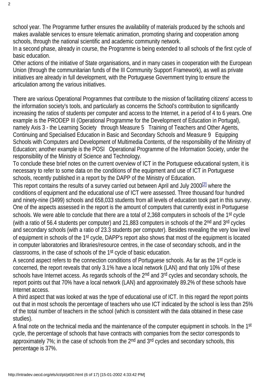school year. The Programme further ensures the availability of materials produced by the schools and makes available services to ensure telematic animation, promoting sharing and cooperation among schools, through the national scientific and academic community network.

In a second phase, already in course, the Programme is being extended to all schools of the first cycle of basic education.

Other actions of the initiative of State organisations, and in many cases in cooperation with the European Union (through the communitarian funds of the III Community Support Framework), as well as private initiatives are already in full development, with the Portuguese Government trying to ensure the articulation among the various initiatives.

There are various Operational Programmes that contribute to the mission of facilitating citizens' access to the information society's tools, and particularly as concerns the School's contribution to significantly increasing the ratios of students per computer and access to the Internet, in a period of 4 to 6 years. One example is the PRODEP III (Operational Programme for the Development of Education in Portugal), namely Axis 3 - the Learning Society through Measure 5 Training of Teachers and Other Agents, Continuing and Specialised Education in Basic and Secondary Schools and Measure 9 Equipping Schools with Computers and Development of Multimedia Contents, of the responsibility of the Ministry of Education; another example is the POSI Operational Programme of the Information Society, under the responsibility of the Ministry of Science and Technology.

To conclude these brief notes on the current overview of ICT in the Portuguese educational system, it is necessary to refer to some data on the conditions of the equipment and use of ICT in Portuguese schools, recently published in a report by the DAPP of the Ministry of Education.

<span id="page-5-0"></span>This report contains the results of a survey carried out between April and July 2000<sup>[2]</sup> where the conditions of equipment and the educational use of ICT were assessed. Three thousand four hundred and ninety-nine (3499) schools and 658,033 students from all levels of education took part in this survey. One of the aspects assessed in the report is the amount of computers that currently exist in Portuguese schools. We were able to conclude that there are a total of 2,368 computers in schools of the 1<sup>st</sup> cycle (with a ratio of 56.4 students per computer) and 21,883 computers in schools of the 2<sup>nd</sup> and 3<sup>rd</sup> cycles and secondary schools (with a ratio of 23.3 students per computer). Besides revealing the very low level of equipment in schools of the 1st cycle, DAPP's report also shows that most of the equipment is located in computer laboratories and libraries/resource centres, in the case of secondary schools, and in the classrooms, in the case of schools of the 1st cycle of basic education.

A second aspect refers to the connection conditions of Portuguese schools. As far as the 1st cycle is concerned, the report reveals that only 3.1% have a local network (LAN) and that only 10% of these schools have Internet access. As regards schools of the 2<sup>nd</sup> and 3<sup>rd</sup> cycles and secondary schools, the report points out that 70% have a local network (LAN) and approximately 89.2% of these schools have Internet access.

A third aspect that was looked at was the type of educational use of ICT. In this regard the report points out that in most schools the percentage of teachers who use ICT indicated by the school is less than 25% of the total number of teachers in the school (which is consistent with the data obtained in these case studies).

A final note on the technical media and the maintenance of the computer equipment in schools. In the 1st cycle, the percentage of schools that have contracts with companies from the sector corresponds to approximately 7%; in the case of schools from the 2<sup>nd</sup> and 3<sup>rd</sup> cycles and secondary schools, this percentage is 37%.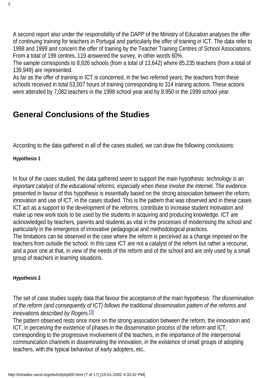2

A second report also under the responsibility of the DAPP of the Ministry of Education analyses the offer of continuing training for teachers in Portugal and particularly the offer of training in ICT. The data refer to 1998 and 1999 and concern the offer of training by the Teacher Training Centres of School Associations. From a total of 199 centres, 119 answered the survey, in other words 60%.

The sample corresponds to 8,926 schools (from a total of 13,642) where 85,235 teachers (from a total of 139,949) are represented.

As far as the offer of training in ICT is concerned, in the two referred years, the teachers from these schools received in total 53,007 hours of training corresponding to 314 training actions. These actions were attended by 7,082 teachers in the 1998 school year and by 8.950 in the 1999 school year.

#### **General Conclusions of the Studies**

According to the data gathered in all of the cases studied, we can draw the following conclusions:

**Hypothesis 1**

In four of the cases studied, the data gathered seem to support the main hypothesis: *technology is an* important catalyst of the educational reforms, especially when these involve the Internet. The evidence presented in favour of this hypothesis is essentially based on the strong association between the reform, innovation and use of ICT, in the cases studied. This is the pattern that was observed and in these cases ICT act as a support to the development of the reforms, contribute to increase student motivation and make up new work tools to be used by the students in acquiring and producing knowledge. ICT are acknowledged by teachers, parents and students as vital in the processes of modernising the school and particularly in the emergence of innovative pedagogical and methodological practices. The limitations can be observed in the case where the reform is perceived as a change imposed on the teachers from outside the school. In this case ICT are not a catalyst of the reform but rather a recourse, and a poor one at that, in view of the needs of the reform and of the school and are only used by a small group of teachers in learning situations.

**Hypothesis 2**

The set of case studies supply data that favour the acceptance of the main hypothesis: *The dissemination of the reform (and consequently of ICT) follows the traditional dissemination pattern of the reforms and innovations described by Rogers*. [\[3\]](#page-16-2)

<span id="page-6-0"></span>The pattern observed rests once more on the strong association between the reform, the innovation and ICT, in perceiving the existence of phases in the dissemination process of the reform and ICT, corresponding to the progressive involvement of the teachers, in the importance of the interpersonal communication channels in disseminating the innovation, in the existence of small groups of adopting teachers, with the typical behaviour of early adopters, etc..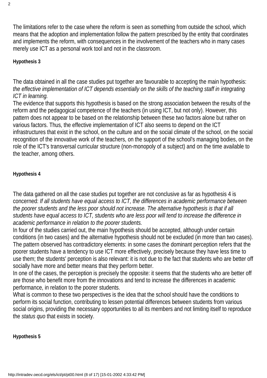The limitations refer to the case where the reform is seen as something from outside the school, which means that the adoption and implementation follow the pattern prescribed by the entity that coordinates and implements the reform, with consequences in the involvement of the teachers who in many cases merely use ICT as a personal work tool and not in the classroom.

#### **Hypothesis 3**

The data obtained in all the case studies put together are favourable to accepting the main hypothesis: *the effective implementation of ICT depends essentially on the skills of the teaching staff in integrating ICT in learning.*

The evidence that supports this hypothesis is based on the strong association between the results of the reform and the pedagogical competence of the teachers (in using ICT, but not only). However, this pattern does not appear to be based on the relationship between these two factors alone but rather on various factors. Thus, the effective implementation of ICT also seems to depend on the ICT infrastructures that exist in the school, on the culture and on the social climate of the school, on the social recognition of the innovative work of the teachers, on the support of the school's managing bodies, on the role of the ICT's transversal curricular structure (non-monopoly of a subject) and on the time available to the teacher, among others.

#### **Hypothesis 4**

The data gathered on all the case studies put together are not conclusive as far as hypothesis 4 is concerned: *If all students have equal access to ICT, the differences in academic performance between the poorer students and the less poor should not increase. The alternative hypothesis is that if all students have equal access to ICT, students who are less poor will tend to increase the difference in academic performance in relation to the poorer students.*

In four of the studies carried out, the main hypothesis should be accepted, although under certain conditions (in two cases) and the alternative hypothesis should not be excluded (in more than two cases). The pattern observed has contradictory elements: in some cases the dominant perception refers that the poorer students have a tendency to use ICT more effectively, precisely because they have less time to use them; the students' perception is also relevant: it is not due to the fact that students who are better off socially have more and better means that they perform better.

In one of the cases, the perception is precisely the opposite: it seems that the students who are better off are those who benefit more from the innovations and tend to increase the differences in academic performance, in relation to the poorer students.

What is common to these two perspectives is the idea that the school should have the conditions to perform its social function, contributing to lessen potential differences between students from various social origins, providing the necessary opportunities to all its members and not limiting itself to reproduce the *status quo* that exists in society.

**Hypothesis 5**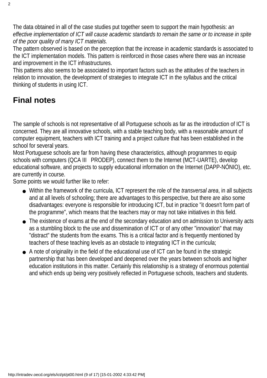The data obtained in all of the case studies put together seem to support the main hypothesis: *an effective implementation of ICT will cause academic standards to remain the same or to increase in spite of the poor quality of many ICT materials.*

The pattern observed is based on the perception that the increase in academic standards is associated to the ICT implementation models. This pattern is reinforced in those cases where there was an increase and improvement in the ICT infrastructures.

This patterns also seems to be associated to important factors such as the attitudes of the teachers in relation to innovation, the development of strategies to integrate ICT in the syllabus and the critical thinking of students in using ICT.

#### **Final notes**

The sample of schools is not representative of all Portuguese schools as far as the introduction of ICT is concerned. They are all innovative schools, with a stable teaching body, with a reasonable amount of computer equipment, teachers with ICT training and a project culture that has been established in the school for several years.

Most Portuguese schools are far from having these characteristics, although programmes to equip schools with computers (QCA III PRODEP), connect them to the Internet (MCT-UARTE), develop educational software, and projects to supply educational information on the Internet (DAPP-NÓNIO), etc. are currently in course.

Some points we would further like to refer:

- Within the framework of the curricula, ICT represent the role of the transversal area, in all subjects and at all levels of schooling; there are advantages to this perspective, but there are also some disadvantages: everyone is responsible for introducing ICT, but in practice "it doesn't form part of the programme", which means that the teachers may or may not take initiatives in this field.
- The existence of exams at the end of the secondary education and on admission to University acts as a stumbling block to the use and dissemination of ICT or of any other "innovation" that may "distract" the students from the exams. This is a critical factor and is frequently mentioned by teachers of these teaching levels as an obstacle to integrating ICT in the curricula;
- A note of originality in the field of the educational use of ICT can be found in the strategic partnership that has been developed and deepened over the years between schools and higher education institutions in this matter. Certainly this relationship is a strategy of enormous potential and which ends up being very positively reflected in Portuguese schools, teachers and students.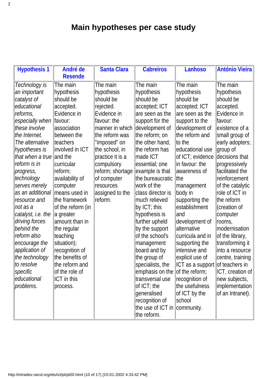### **Main hypotheses per case study**

| <b>Hypothesis 1</b>  | André de          | <b>Santa Clara</b> | <b>Cabreiros</b>               | <b>Lanhoso</b>                  | <b>António Vieira</b> |
|----------------------|-------------------|--------------------|--------------------------------|---------------------------------|-----------------------|
|                      | <b>Resende</b>    |                    |                                |                                 |                       |
| <b>Technology</b> is | The main          | The main           | The main                       | The main                        | The main              |
| an important         | hypothesis        | hypothesis         | hypothesis                     | hypothesis                      | hypothesis            |
| catalyst of          | should be         | should be          | should be                      | should be                       | should be             |
| educational          | accepted.         | rejected.          | accepted; ICT                  | accepted; ICT                   | accepted.             |
| reforms,             | Evidence in       | Evidence in        | are seen as the                | are seen as the                 | Evidence in           |
| especially when      | favour:           | favour: the        | support for the                | support to the                  | favour:               |
| these involve        | association       | manner in which    | development of                 | development of                  | existence of a        |
| the Internet.        | between the       | the reform was     | the reform; on                 | the reform and                  | small group of        |
| The alternative      | <b>Iteachers</b>  | "imposed" on       | the other hand,                | to the                          | early adopters;       |
| hypotheses is        | involved in ICT   | the school, in     | the reform has                 | educational use                 | group of              |
| that when a true     | and the           | practice it is a   | made ICT                       | of ICT; evidence                | decisions that        |
| reform is in         | curricular        | compulsory         | essential; one                 | in favour: the                  | progressively         |
| progress,            | reform;           | reform; shortage   | example is that                | awareness of                    | facilitated the       |
| technology           | availability of   | of computer        | the bureaucratic               | lthe                            | reinforcement         |
| serves merely        | computer          | resources          | work of the                    | management                      | of the catalytic      |
| as an additional     | means used in     | assigned to the    | class director is              | body in                         | role of ICT in        |
| resource and         | the framework     | reform.            | much relieved                  | supporting the                  | the reform            |
| not as a             | of the reform (in |                    | by ICT; this                   | establishment                   | (creation of          |
| catalyst, i.e. the   | a greater         |                    | hypothesis is                  | and                             | computer              |
| driving forces       | amount than in    |                    | further upheld                 | development of                  | rooms,                |
| behind the           | the regular       |                    | by the support                 | alternative                     | <b>modernisation</b>  |
| reform also          | teaching          |                    | of the school's                | curricula and in                | of the library,       |
| encourage the        | situation);       |                    | management                     | supporting the                  | transforming it       |
| application of       | recognition of    |                    | board and by                   | intensive and                   | linto a resource      |
| the technology       | the benefits of   |                    | the group of                   | explicit use of                 | centre, training      |
| to resolve           | the reform and    |                    | specialists, the               | ICT as a support of teachers in |                       |
| specific             | of the role of    |                    | emphasis on the of the reform; |                                 | $ ICT $ , creation of |
| educational          | ICT in this       |                    | transversal use                | recognition of                  | new subjects,         |
| problems.            | process.          |                    | of ICT; the                    | the usefulness                  | implementation        |
|                      |                   |                    | generalised                    | of ICT by the                   | of an Intranet).      |
|                      |                   |                    | recognition of                 | school                          |                       |
|                      |                   |                    | the use of ICT in community.   |                                 |                       |
|                      |                   |                    | the reform.                    |                                 |                       |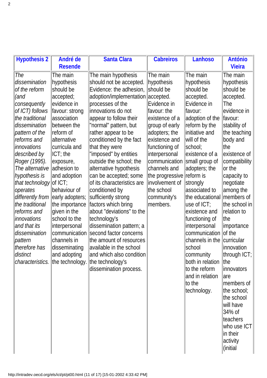| <b>Hypothesis 2</b>                          | André de<br><b>Resende</b>       | <b>Santa Clara</b>                             | <b>Cabreiros</b>       | Lanhoso                          | <b>António</b><br><b>Vieira</b> |
|----------------------------------------------|----------------------------------|------------------------------------------------|------------------------|----------------------------------|---------------------------------|
| <b>The</b>                                   |                                  |                                                |                        |                                  |                                 |
| dissemination                                | The main<br>hypothesis           | The main hypothesis<br>should not be accepted. | The main<br>hypothesis | The main<br>hypothesis           | The main<br>hypothesis          |
| of the reform                                | should be                        | Evidence: the adhesion,                        | should be              | should be                        | should be                       |
| (and                                         | accepted;                        | adoption/implementation accepted.              |                        | accepted.                        | accepted.                       |
| consequently                                 | evidence in                      | processes of the                               | Evidence in            | Evidence in                      | The                             |
| of ICT) follows                              | favour: strong                   | innovations do not                             | favour: the            | favour:                          | evidence in                     |
| the traditional                              | association                      | appear to follow their                         | existence of a         | adoption of the                  | favour:                         |
| dissemination                                | between the                      | "normal" pattern, but                          | group of early         | reform by the                    | stability of                    |
| pattern of the                               | reform of                        | rather appear to be                            | adopters; the          | initiative and                   | the teaching                    |
| reforms and                                  | alternative                      | conditioned by the fact                        | existence and          | will of the                      | body and                        |
| innovations                                  | curricula and                    | that they were                                 | functioning of         | school;                          | ∣the                            |
| described by                                 | $\mathsf{ICT}$ ; the             | "imposed" by entities                          | interpersonal          | existence of a                   | existence of                    |
| Roger (1995).                                | exposure,                        | outside the school; the                        | communication          | small group of                   | compatibility                   |
| The alternative                              | adhesion to                      | alternative hypothesis                         | channels and           | adopters; the                    | or the                          |
| hypothesis is                                | and adoption                     | can be accepted; some                          | the progressive        | reform is                        | capacity to                     |
| that technology                              | $\vert$ of ICT;                  | of its characteristics are                     | involvement of         | strongly                         | negotiate                       |
| operates                                     | behaviour of                     | conditioned by                                 | the school             | associated to                    | among the                       |
| differently from $\parallel$ early adopters; |                                  | sufficiently strong                            | community's            | the educational                  | members of                      |
| the traditional                              | the importance                   | factors which bring                            | members.               | $ $ use of ICT;                  | the school in                   |
| reforms and                                  | given in the                     | about "deviations" to the                      |                        | existence and                    | relation to                     |
| innovations                                  | school to the                    | technology's                                   |                        | functioning of                   | ∣the                            |
| and that its                                 | interpersonal                    | dissemination pattern; a                       |                        | interpersonal                    | importance                      |
| dissemination                                | communication                    | second factor concerns                         |                        | communication                    | of the                          |
| pattern                                      | channels in                      | the amount of resources                        |                        | channels in the                  | <b>curricular</b>               |
| therefore has                                | disseminating                    | available in the school                        |                        | school                           | innovation                      |
| distinct                                     | and adopting                     | and which also condition                       |                        | community                        | through ICT;                    |
|                                              | characteristics. the technology. | the technology's                               |                        | both in relation                 | the                             |
|                                              |                                  | dissemination process.                         |                        | to the reform<br>and in relation | <i>innovators</i>               |
|                                              |                                  |                                                |                        | to the                           | lare<br>members of              |
|                                              |                                  |                                                |                        | technology.                      | the school;                     |
|                                              |                                  |                                                |                        |                                  | the school                      |
|                                              |                                  |                                                |                        |                                  | will have                       |
|                                              |                                  |                                                |                        |                                  | 34% of                          |
|                                              |                                  |                                                |                        |                                  | teachers                        |
|                                              |                                  |                                                |                        |                                  | who use ICT                     |
|                                              |                                  |                                                |                        |                                  | in their                        |
|                                              |                                  |                                                |                        |                                  | activity                        |
|                                              |                                  |                                                |                        |                                  | (initial                        |
|                                              |                                  |                                                |                        |                                  |                                 |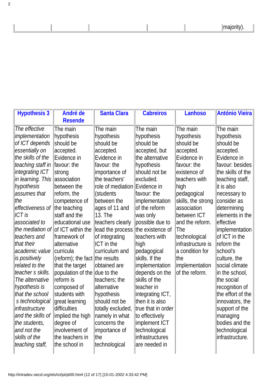majority).

| <b>Hypothesis 3</b>              | André de                                  | <b>Santa Clara</b>        | <b>Cabreiros</b>            | <b>Lanhoso</b>     | <b>António Vieira</b>               |
|----------------------------------|-------------------------------------------|---------------------------|-----------------------------|--------------------|-------------------------------------|
|                                  | <b>Resende</b>                            |                           |                             |                    |                                     |
| The effective                    | The main                                  | The main                  | The main                    | The main           | The main                            |
| <i>implementation</i>            | hypothesis                                | hypothesis                | hypothesis                  | hypothesis         | hypothesis                          |
| of ICT depends                   | should be                                 | should be                 | should be                   | should be          | should be                           |
| essentially on                   | accepted.                                 | accepted.                 | accepted, but               | accepted.          | accepted.                           |
| the skills of the                | Evidence in                               | Evidence in               | the alternative             | Evidence in        | Evidence in                         |
| teaching staff in                | favour: the                               | favour: the               | hypothesis                  | favour: the        | favour: besides                     |
| integrating ICT                  | strong                                    | importance of             | should not be               | existence of       | the skills of the                   |
| in learning. This                | association                               | the teachers'             | excluded.                   | teachers with      | teaching staff,                     |
| hypothesis                       | between the                               | role of mediation         | Evidence in                 | high               | lit is also                         |
| assumes that                     | reform, the                               | (students)                | favour: the                 | pedagogical        | necessary to                        |
| the                              | competence of                             | between the               | implementation              | skills, the strong | consider as                         |
| effectiveness of                 | the teaching                              | ages of 11 and            | of the reform               | association        | determining                         |
| ICT is                           | staff and the                             | 13. The                   | was only                    | between ICT        | elements in the                     |
| associated to                    | educational use                           | teachers clearly          | possible due to             | and the reform.    | effective                           |
|                                  | the mediation of of $ $ of ICT within the | lead the process          | the existence of            | The                | <i>implementation</i>               |
| teachers and                     | framework of                              | of integrating            | teachers with               | technological      | of ICT in the                       |
| that their                       | alternative                               | <b>ICT</b> in the         | high                        | infrastructure is  | reform the                          |
| academic value                   | curricula                                 | curriculum and            | pedagogical                 | a condition for    | school's                            |
| is positively                    | $ $ (reform); the fact $ $ the results    |                           | skills. If the              | the                | culture, the                        |
| related to the                   | that the target                           | obtained are              | implementation              | implementation     | social climate                      |
| teacher s skills.                | population of the due to the              |                           | depends on the              | of the reform.     | in the school,                      |
| The alternative                  | reform is                                 | teachers; the             | skills of the<br>teacher in |                    | the social                          |
| hypothesis is<br>that the school | composed of<br>students with              | alternative<br>hypothesis | integrating ICT,            |                    | recognition of<br>the effort of the |
| s technological                  | great learning                            | should not be             | then it is also             |                    | innovators, the                     |
| linfrastructure                  | difficulties                              | totally excluded,         | true that in order          |                    | support of the                      |
| and the skills of                | implied the high                          | namely in what            | to effectively              |                    | managing                            |
| the students,                    | degree of                                 | concerns the              | implement ICT               |                    | bodies and the                      |
| and not the                      | involvement of                            | importance of             | technological               |                    | technological                       |
| skills of the                    | the teachers in                           | the                       | infrastructures             |                    | infrastructure.                     |
| teaching staff,                  | the school in                             | technological             | are needed in               |                    |                                     |
|                                  |                                           |                           |                             |                    |                                     |

 $\overline{\phantom{a}}$ 

 $\overline{\phantom{a}}$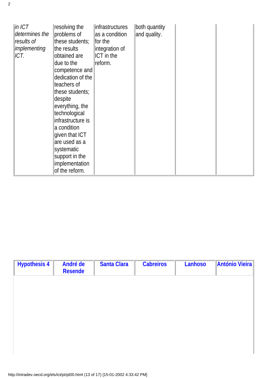| $\ln$ ICT<br>determines the<br>results of<br><i>implementing</i><br>ICT. | resolving the<br>problems of<br>these students;<br>the results<br>obtained are<br>due to the<br>competence and<br>dedication of the<br>teachers of<br>these students;<br>despite<br>everything, the<br>technological<br>infrastructure is<br>a condition<br>given that ICT<br>are used as a<br>systematic<br>support in the<br>implementation<br>of the reform. | linfrastructures<br>as a condition<br>for the<br>integration of<br><b>ICT</b> in the<br>reform. | both quantity<br>and quality. |  |  |
|--------------------------------------------------------------------------|-----------------------------------------------------------------------------------------------------------------------------------------------------------------------------------------------------------------------------------------------------------------------------------------------------------------------------------------------------------------|-------------------------------------------------------------------------------------------------|-------------------------------|--|--|
|--------------------------------------------------------------------------|-----------------------------------------------------------------------------------------------------------------------------------------------------------------------------------------------------------------------------------------------------------------------------------------------------------------------------------------------------------------|-------------------------------------------------------------------------------------------------|-------------------------------|--|--|

| <b>Hypothesis 4</b> | André de<br><b>Resende</b> | <b>Santa Clara</b> | <b>Cabreiros</b> | Lanhoso | <b>António Vieira</b> |
|---------------------|----------------------------|--------------------|------------------|---------|-----------------------|
|                     |                            |                    |                  |         |                       |
|                     |                            |                    |                  |         |                       |
|                     |                            |                    |                  |         |                       |
|                     |                            |                    |                  |         |                       |
|                     |                            |                    |                  |         |                       |
|                     |                            |                    |                  |         |                       |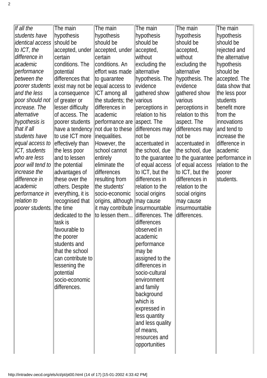| If all the           | The main                         | The main                          | The main         | The main         | The main           |
|----------------------|----------------------------------|-----------------------------------|------------------|------------------|--------------------|
| students have        | hypothesis                       | hypothesis                        | hypothesis       | hypothesis       | hypothesis         |
| identical access     | should be                        | should be                         | should be        | should be        | should be          |
| to ICT, the          | accepted, under                  | accepted, under                   | accepted,        | accepted,        | rejected and       |
| difference in        | certain                          | lcertain                          | without          | without          | the alternative    |
| academic             | conditions. The                  | conditions. An                    | excluding the    | excluding the    | hypothesis         |
| performance          | potential                        | effort was made                   | alternative      | alternative      | should be          |
| between the          | differences that                 | to guarantee                      | hypothesis. The  | hypothesis. The  | accepted. The      |
| poorer students      | exist may not be equal access to |                                   | evidence         | evidence         | data show that     |
| and the less         | a consequence                    | ICT among all                     | gathered show    | gathered show    | the less poor      |
| poor should not      | of greater or                    | the students; the                 | lvarious         | Ivarious         | <b>students</b>    |
| increase. The        | lesser difficulty                | differences in                    | perceptions in   | perceptions in   | benefit more       |
| alternative          | of access. The                   | lacademic                         | relation to his  | relation to this | from the           |
| hypothesis is        | poorer students                  | performance are                   | aspect. The      | aspect. The      | <i>innovations</i> |
| that if all          | have a tendency not due to these |                                   | differences may  | differences may  | and tend to        |
| students have        | to use ICT more                  | linequalities.                    | not be           | not be           | increase the       |
| equal access to      | effectively than                 | However, the                      | accentuated in   | accentuated in   | difference in      |
| <b>ICT, students</b> | the less poor                    | school cannot                     | the school, due  | the school, due  | academic           |
| who are less         | and to lessen                    | entirely                          | to the guarantee | to the guarantee | performance in     |
| poor will tend to    | the potential                    | eliminate the                     | of equal access  | of equal access  | relation to the    |
| increase the         | advantages of                    | differences                       | to ICT, but the  | to ICT, but the  | poorer             |
| difference in        | these over the                   | resulting from                    | differences in   | differences in   | students.          |
| academic             | others. Despite                  | the students'                     | relation to the  | relation to the  |                    |
| performance in       | everything, it is                | socio-economic                    | social origins   | social origins   |                    |
| relation to          | recognised that                  | origins, although                 | may cause        | may cause        |                    |
| poorer students.     | the time                         | it may contribute linsurmountable |                  | insurmountable   |                    |
|                      | dedicated to the                 | to lessen them                    | differences. The | differences.     |                    |
|                      | task is                          |                                   | differences      |                  |                    |
|                      | favourable to                    |                                   | observed in      |                  |                    |
|                      | the poorer                       |                                   | academic         |                  |                    |
|                      | students and                     |                                   | performance      |                  |                    |
|                      | that the school                  |                                   | may be           |                  |                    |
|                      | can contribute to                |                                   | assigned to the  |                  |                    |
|                      | lessening the                    |                                   | differences in   |                  |                    |
|                      | potential                        |                                   | socio-cultural   |                  |                    |
|                      | socio-economic                   |                                   | environment      |                  |                    |
|                      | differences.                     |                                   | and family       |                  |                    |
|                      |                                  |                                   | background       |                  |                    |
|                      |                                  |                                   | which is         |                  |                    |
|                      |                                  |                                   | expressed in     |                  |                    |
|                      |                                  |                                   | less quantity    |                  |                    |
|                      |                                  |                                   | and less quality |                  |                    |
|                      |                                  |                                   | of means,        |                  |                    |
|                      |                                  |                                   | resources and    |                  |                    |
|                      |                                  |                                   | opportunities    |                  |                    |
|                      |                                  |                                   |                  |                  |                    |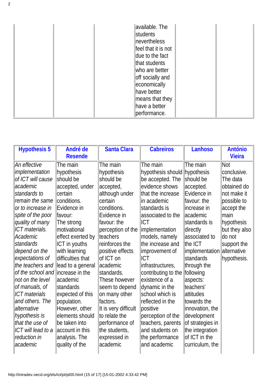| available. The<br>students<br>nevertheless<br>feel that it is not<br>due to the fact<br>that students<br>who are better<br>off socially and<br>economically<br>have better<br>means that they<br>have a better |  |
|----------------------------------------------------------------------------------------------------------------------------------------------------------------------------------------------------------------|--|
| performance.                                                                                                                                                                                                   |  |

| <b>Hypothesis 5</b>                | André de          | <b>Santa Clara</b>   | <b>Cabreiros</b>              | <b>Lanhoso</b>   | <b>António</b>     |
|------------------------------------|-------------------|----------------------|-------------------------------|------------------|--------------------|
|                                    | <b>Resende</b>    |                      |                               |                  | <b>Vieira</b>      |
| An effective                       | The main          | The main             | The main                      | The main         | Not                |
| implementation                     | hypothesis        | hypothesis           | hypothesis should hypothesis  |                  | conclusive.        |
| of ICT will cause                  | should be         | should be            | be accepted. The              | should be        | The data           |
| lacademic                          | accepted, under   | accepted,            | evidence shows                | accepted.        | obtained do        |
| standards to                       | certain           | although under       | that the increase             | Evidence in      | not make it        |
| remain the same                    | conditions.       | certain              | lin academic                  | favour: the      | possible to        |
| or to increase in                  | Evidence in       | conditions.          | standards is                  | lincrease in     | accept the         |
| spite of the poor                  | favour:           | Evidence in          | associated to the             | lacademic        | lmain              |
| quality of many                    | The strong        | favour: the          | ICT                           | standards is     | hypothesis         |
| <b>ICT</b> materials.              | motivational      | perception of the    | implementation                | directly         | but they also      |
| <b>Academic</b>                    | effect exerted by | <b>Iteachers</b>     | models, namely                | associated to    | ldo not            |
| standards                          | ICT in youths     | reinforces the       | the increase and              | the ICT          | support the        |
| depend on the                      | with learning     | positive effects     | improvement of                | implementation   | <b>alternative</b> |
| expectations of                    | difficulties that | of ICT on            | ICT                           | <b>standards</b> | hypothesis.        |
| the teachers and                   | lead to a general | lacademic            | infrastructures,              | through the      |                    |
| of the school and lincrease in the |                   | standards.           | contributing to the following |                  |                    |
| not on the level                   | academic          | These however        | lexistence of a               | aspects:         |                    |
| of manuals, of                     | <b>standards</b>  | seem to depend       | dynamic in the                | teachers'        |                    |
| <b>ICT</b> materials               | expected of this  | on many other        | school which is               | lattitudes       |                    |
| and others. The                    | population.       | factors.             | reflected in the              | towards the      |                    |
| alternative                        | However, other    | It is very difficult | positive                      | innovation, the  |                    |
| hypothesis is                      | elements should   | to relate the        | perception of the             | development      |                    |
| that the use of                    | be taken into     | performance of       | teachers, parents             | of strategies in |                    |
| ICT will lead to a                 | account in this   | the students,        | and students on               | the integration  |                    |
| reduction in                       | analysis. The     | expressed in         | the performance               | of ICT in the    |                    |
| academic                           | quality of the    | academic             | and academic                  | curriculum, the  |                    |
|                                    |                   |                      |                               |                  |                    |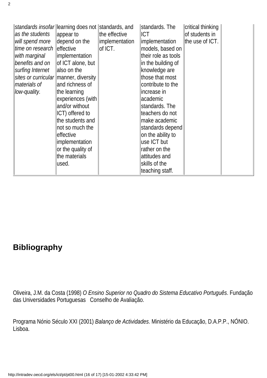| as the students<br>will spend more<br>time on research effective<br>with marginal<br>benefits and on<br>surfing Internet<br>materials of<br>low-quality. | standards insofar  learning does not   standards, and<br>appear to<br>depend on the<br>implementation<br>of ICT alone, but<br>also on the<br>sites or curricular manner, diversity<br>and richness of<br>the learning<br>experiences (with<br>and/or without<br>ICT) offered to<br>the students and<br>not so much the<br>effective<br><i>implementation</i><br>or the quality of<br>the materials<br>lused. | the effective<br>implementation<br>lof ICT. | standards. The<br>ICT.<br>Implementation<br>models, based on<br>their role as tools<br>in the building of<br>knowledge are<br>those that most<br>contribute to the<br>lincrease in<br>academic<br>standards. The<br>teachers do not<br>make academic<br>standards depend<br>on the ability to<br>use ICT but<br>rather on the<br>attitudes and<br>skills of the<br>teaching staff. | critical thinking<br>of students in<br>the use of ICT. |  |
|----------------------------------------------------------------------------------------------------------------------------------------------------------|--------------------------------------------------------------------------------------------------------------------------------------------------------------------------------------------------------------------------------------------------------------------------------------------------------------------------------------------------------------------------------------------------------------|---------------------------------------------|------------------------------------------------------------------------------------------------------------------------------------------------------------------------------------------------------------------------------------------------------------------------------------------------------------------------------------------------------------------------------------|--------------------------------------------------------|--|
|----------------------------------------------------------------------------------------------------------------------------------------------------------|--------------------------------------------------------------------------------------------------------------------------------------------------------------------------------------------------------------------------------------------------------------------------------------------------------------------------------------------------------------------------------------------------------------|---------------------------------------------|------------------------------------------------------------------------------------------------------------------------------------------------------------------------------------------------------------------------------------------------------------------------------------------------------------------------------------------------------------------------------------|--------------------------------------------------------|--|

#### **Bibliography**

Oliveira, J.M. da Costa (1998) *O Ensino Superior no Quadro do Sistema Educativo Português*. Fundação das Universidades Portuguesas Conselho de Avaliação.

Programa Nónio Século XXI (2001) *Balanço de Actividades*. Ministério da Educação, D.A.P.P., NÓNIO. Lisboa.